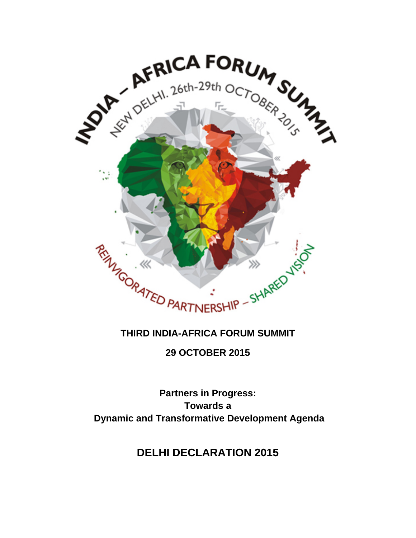

# **THIRD INDIA-AFRICA FORUM SUMMIT**

**29 OCTOBER 2015**

**Partners in Progress: Towards a Dynamic and Transformative Development Agenda**

**DELHI DECLARATION 2015**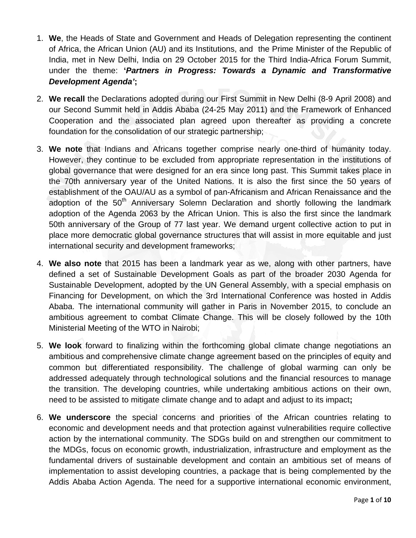- 1. **We**, the Heads of State and Government and Heads of Delegation representing the continent of Africa, the African Union (AU) and its Institutions, and the Prime Minister of the Republic of India, met in New Delhi, India on 29 October 2015 for the Third India-Africa Forum Summit, under the theme: **'***Partners in Progress: Towards a Dynamic and Transformative Development Agenda'***;**
- 2. **We recall** the Declarations adopted during our First Summit in New Delhi (8-9 April 2008) and our Second Summit held in Addis Ababa (24-25 May 2011) and the Framework of Enhanced Cooperation and the associated plan agreed upon thereafter as providing a concrete foundation for the consolidation of our strategic partnership;
- 3. **We note** that Indians and Africans together comprise nearly one-third of humanity today. However, they continue to be excluded from appropriate representation in the institutions of global governance that were designed for an era since long past. This Summit takes place in the 70th anniversary year of the United Nations. It is also the first since the 50 years of establishment of the OAU/AU as a symbol of pan-Africanism and African Renaissance and the adoption of the 50<sup>th</sup> Anniversary Solemn Declaration and shortly following the landmark adoption of the Agenda 2063 by the African Union. This is also the first since the landmark 50th anniversary of the Group of 77 last year. We demand urgent collective action to put in place more democratic global governance structures that will assist in more equitable and just international security and development frameworks;
- 4. **We also note** that 2015 has been a landmark year as we, along with other partners, have defined a set of Sustainable Development Goals as part of the broader 2030 Agenda for Sustainable Development, adopted by the UN General Assembly, with a special emphasis on Financing for Development, on which the 3rd International Conference was hosted in Addis Ababa. The international community will gather in Paris in November 2015, to conclude an ambitious agreement to combat Climate Change. This will be closely followed by the 10th Ministerial Meeting of the WTO in Nairobi;
- 5. **We look** forward to finalizing within the forthcoming global climate change negotiations an ambitious and comprehensive climate change agreement based on the principles of equity and common but differentiated responsibility. The challenge of global warming can only be addressed adequately through technological solutions and the financial resources to manage the transition. The developing countries, while undertaking ambitious actions on their own, need to be assisted to mitigate climate change and to adapt and adjust to its impact**;**
- 6. **We underscore** the special concerns and priorities of the African countries relating to economic and development needs and that protection against vulnerabilities require collective action by the international community. The SDGs build on and strengthen our commitment to the MDGs, focus on economic growth, industrialization, infrastructure and employment as the fundamental drivers of sustainable development and contain an ambitious set of means of implementation to assist developing countries, a package that is being complemented by the Addis Ababa Action Agenda. The need for a supportive international economic environment,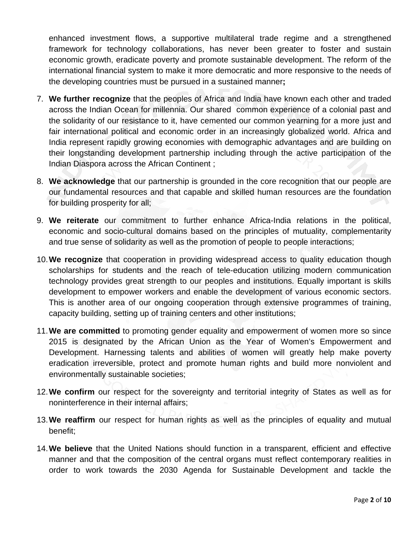enhanced investment flows, a supportive multilateral trade regime and a strengthened framework for technology collaborations, has never been greater to foster and sustain economic growth, eradicate poverty and promote sustainable development. The reform of the international financial system to make it more democratic and more responsive to the needs of the developing countries must be pursued in a sustained manner**;**

- 7. **We further recognize** that the peoples of Africa and India have known each other and traded across the Indian Ocean for millennia. Our shared common experience of a colonial past and the solidarity of our resistance to it, have cemented our common yearning for a more just and fair international political and economic order in an increasingly globalized world. Africa and India represent rapidly growing economies with demographic advantages and are building on their longstanding development partnership including through the active participation of the Indian Diaspora across the African Continent ;
- 8. **We acknowledge** that our partnership is grounded in the core recognition that our people are our fundamental resources and that capable and skilled human resources are the foundation for building prosperity for all;
- 9. **We reiterate** our commitment to further enhance Africa-India relations in the political, economic and socio-cultural domains based on the principles of mutuality, complementarity and true sense of solidarity as well as the promotion of people to people interactions;
- 10.**We recognize** that cooperation in providing widespread access to quality education though scholarships for students and the reach of tele-education utilizing modern communication technology provides great strength to our peoples and institutions. Equally important is skills development to empower workers and enable the development of various economic sectors. This is another area of our ongoing cooperation through extensive programmes of training, capacity building, setting up of training centers and other institutions;
- 11.**We are committed** to promoting gender equality and empowerment of women more so since 2015 is designated by the African Union as the Year of Women's Empowerment and Development. Harnessing talents and abilities of women will greatly help make poverty eradication irreversible, protect and promote human rights and build more nonviolent and environmentally sustainable societies;
- 12.**We confirm** our respect for the sovereignty and territorial integrity of States as well as for noninterference in their internal affairs;
- 13.**We reaffirm** our respect for human rights as well as the principles of equality and mutual benefit;
- 14.**We believe** that the United Nations should function in a transparent, efficient and effective manner and that the composition of the central organs must reflect contemporary realities in order to work towards the 2030 Agenda for Sustainable Development and tackle the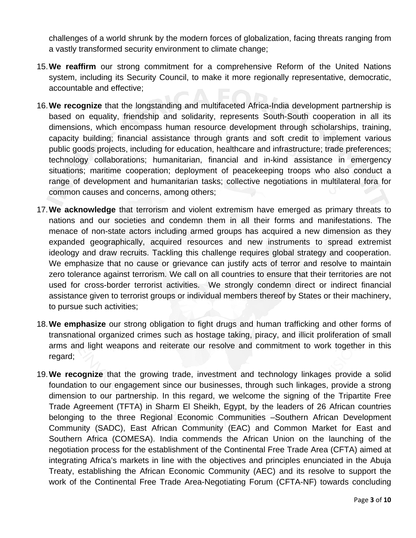challenges of a world shrunk by the modern forces of globalization, facing threats ranging from a vastly transformed security environment to climate change;

- 15.**We reaffirm** our strong commitment for a comprehensive Reform of the United Nations system, including its Security Council, to make it more regionally representative, democratic, accountable and effective;
- 16.**We recognize** that the longstanding and multifaceted Africa-India development partnership is based on equality, friendship and solidarity, represents South-South cooperation in all its dimensions, which encompass human resource development through scholarships, training, capacity building; financial assistance through grants and soft credit to implement various public goods projects, including for education, healthcare and infrastructure; trade preferences; technology collaborations; humanitarian, financial and in-kind assistance in emergency situations; maritime cooperation; deployment of peacekeeping troops who also conduct a range of development and humanitarian tasks; collective negotiations in multilateral fora for common causes and concerns, among others;
- 17.**We acknowledge** that terrorism and violent extremism have emerged as primary threats to nations and our societies and condemn them in all their forms and manifestations. The menace of non-state actors including armed groups has acquired a new dimension as they expanded geographically, acquired resources and new instruments to spread extremist ideology and draw recruits. Tackling this challenge requires global strategy and cooperation. We emphasize that no cause or grievance can justify acts of terror and resolve to maintain zero tolerance against terrorism. We call on all countries to ensure that their territories are not used for cross-border terrorist activities. We strongly condemn direct or indirect financial assistance given to terrorist groups or individual members thereof by States or their machinery, to pursue such activities;
- 18.**We emphasize** our strong obligation to fight drugs and human trafficking and other forms of transnational organized crimes such as hostage taking, piracy, and illicit proliferation of small arms and light weapons and reiterate our resolve and commitment to work together in this regard;
- 19.**We recognize** that the growing trade, investment and technology linkages provide a solid foundation to our engagement since our businesses, through such linkages, provide a strong dimension to our partnership. In this regard, we welcome the signing of the Tripartite Free Trade Agreement (TFTA) in Sharm El Sheikh, Egypt, by the leaders of 26 African countries belonging to the three Regional Economic Communities –Southern African Development Community (SADC), East African Community (EAC) and Common Market for East and Southern Africa (COMESA). India commends the African Union on the launching of the negotiation process for the establishment of the Continental Free Trade Area (CFTA) aimed at integrating Africa's markets in line with the objectives and principles enunciated in the Abuja Treaty, establishing the African Economic Community (AEC) and its resolve to support the work of the Continental Free Trade Area-Negotiating Forum (CFTA-NF) towards concluding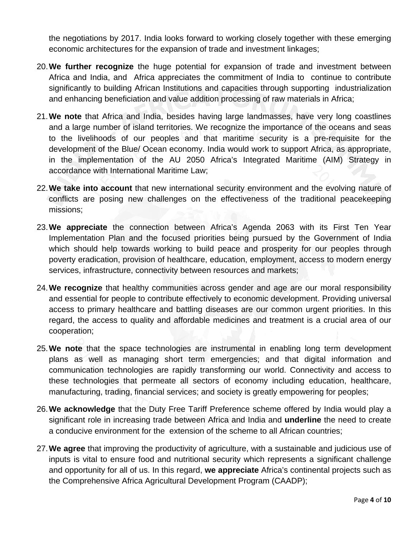the negotiations by 2017. India looks forward to working closely together with these emerging economic architectures for the expansion of trade and investment linkages;

- 20.**We further recognize** the huge potential for expansion of trade and investment between Africa and India, and Africa appreciates the commitment of India to continue to contribute significantly to building African Institutions and capacities through supporting industrialization and enhancing beneficiation and value addition processing of raw materials in Africa;
- 21.**We note** that Africa and India, besides having large landmasses, have very long coastlines and a large number of island territories. We recognize the importance of the oceans and seas to the livelihoods of our peoples and that maritime security is a pre-requisite for the development of the Blue/ Ocean economy. India would work to support Africa, as appropriate, in the implementation of the AU 2050 Africa's Integrated Maritime (AIM) Strategy in accordance with International Maritime Law;
- 22.**We take into account** that new international security environment and the evolving nature of conflicts are posing new challenges on the effectiveness of the traditional peacekeeping missions;
- 23.**We appreciate** the connection between Africa's Agenda 2063 with its First Ten Year Implementation Plan and the focused priorities being pursued by the Government of India which should help towards working to build peace and prosperity for our peoples through poverty eradication, provision of healthcare, education, employment, access to modern energy services, infrastructure, connectivity between resources and markets;
- 24.**We recognize** that healthy communities across gender and age are our moral responsibility and essential for people to contribute effectively to economic development. Providing universal access to primary healthcare and battling diseases are our common urgent priorities. In this regard, the access to quality and affordable medicines and treatment is a crucial area of our cooperation;
- 25.**We note** that the space technologies are instrumental in enabling long term development plans as well as managing short term emergencies; and that digital information and communication technologies are rapidly transforming our world. Connectivity and access to these technologies that permeate all sectors of economy including education, healthcare, manufacturing, trading, financial services; and society is greatly empowering for peoples;
- 26.**We acknowledge** that the Duty Free Tariff Preference scheme offered by India would play a significant role in increasing trade between Africa and India and **underline** the need to create a conducive environment for the extension of the scheme to all African countries;
- 27.**We agree** that improving the productivity of agriculture, with a sustainable and judicious use of inputs is vital to ensure food and nutritional security which represents a significant challenge and opportunity for all of us. In this regard, **we appreciate** Africa's continental projects such as the Comprehensive Africa Agricultural Development Program (CAADP);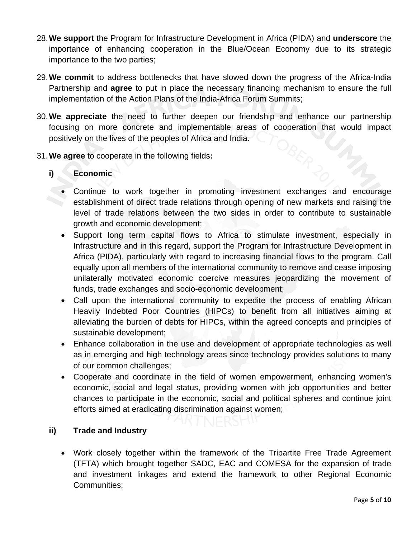- 28.**We support** the Program for Infrastructure Development in Africa (PIDA) and **underscore** the importance of enhancing cooperation in the Blue/Ocean Economy due to its strategic importance to the two parties;
- 29.**We commit** to address bottlenecks that have slowed down the progress of the Africa-India Partnership and **agree** to put in place the necessary financing mechanism to ensure the full implementation of the Action Plans of the India-Africa Forum Summits;
- 30.**We appreciate** the need to further deepen our friendship and enhance our partnership focusing on more concrete and implementable areas of cooperation that would impact positively on the lives of the peoples of Africa and India.
- 31.**We agree** to cooperate in the following fields**:**

# **i) Economic**

- Continue to work together in promoting investment exchanges and encourage establishment of direct trade relations through opening of new markets and raising the level of trade relations between the two sides in order to contribute to sustainable growth and economic development;
- Support long term capital flows to Africa to stimulate investment, especially in Infrastructure and in this regard, support the Program for Infrastructure Development in Africa (PIDA), particularly with regard to increasing financial flows to the program. Call equally upon all members of the international community to remove and cease imposing unilaterally motivated economic coercive measures jeopardizing the movement of funds, trade exchanges and socio-economic development;
- Call upon the international community to expedite the process of enabling African Heavily Indebted Poor Countries (HIPCs) to benefit from all initiatives aiming at alleviating the burden of debts for HIPCs, within the agreed concepts and principles of sustainable development;
- Enhance collaboration in the use and development of appropriate technologies as well as in emerging and high technology areas since technology provides solutions to many of our common challenges;
- Cooperate and coordinate in the field of women empowerment, enhancing women's economic, social and legal status, providing women with job opportunities and better chances to participate in the economic, social and political spheres and continue joint efforts aimed at eradicating discrimination against women;

#### **ii) Trade and Industry**

• Work closely together within the framework of the Tripartite Free Trade Agreement (TFTA) which brought together SADC, EAC and COMESA for the expansion of trade and investment linkages and extend the framework to other Regional Economic Communities;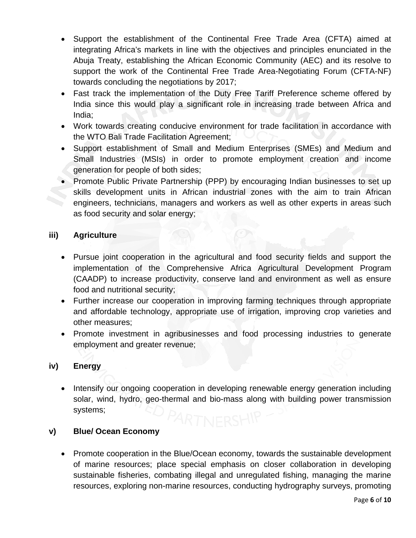- Support the establishment of the Continental Free Trade Area (CFTA) aimed at integrating Africa's markets in line with the objectives and principles enunciated in the Abuja Treaty, establishing the African Economic Community (AEC) and its resolve to support the work of the Continental Free Trade Area-Negotiating Forum (CFTA-NF) towards concluding the negotiations by 2017;
- Fast track the implementation of the Duty Free Tariff Preference scheme offered by India since this would play a significant role in increasing trade between Africa and India;
- Work towards creating conducive environment for trade facilitation in accordance with the WTO Bali Trade Facilitation Agreement;
- Support establishment of Small and Medium Enterprises (SMEs) and Medium and Small Industries (MSIs) in order to promote employment creation and income generation for people of both sides;
- Promote Public Private Partnership (PPP) by encouraging Indian businesses to set up skills development units in African industrial zones with the aim to train African engineers, technicians, managers and workers as well as other experts in areas such as food security and solar energy;

# **iii) Agriculture**

- Pursue joint cooperation in the agricultural and food security fields and support the implementation of the Comprehensive Africa Agricultural Development Program (CAADP) to increase productivity, conserve land and environment as well as ensure food and nutritional security;
- Further increase our cooperation in improving farming techniques through appropriate and affordable technology, appropriate use of irrigation, improving crop varieties and other measures;
- Promote investment in agribusinesses and food processing industries to generate employment and greater revenue;

# **iv) Energy**

• Intensify our ongoing cooperation in developing renewable energy generation including solar, wind, hydro, geo-thermal and bio-mass along with building power transmission systems;

# **v) Blue/ Ocean Economy**

• Promote cooperation in the Blue/Ocean economy, towards the sustainable development of marine resources; place special emphasis on closer collaboration in developing sustainable fisheries, combating illegal and unregulated fishing, managing the marine resources, exploring non-marine resources, conducting hydrography surveys, promoting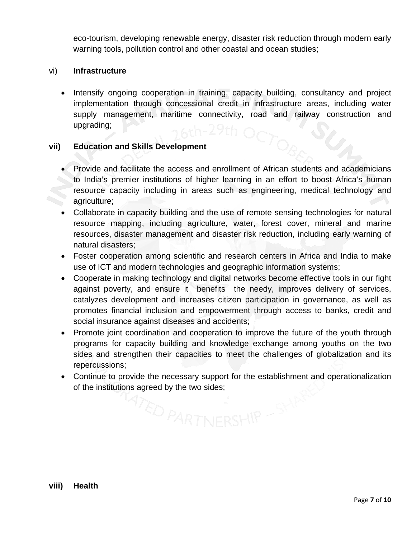eco-tourism, developing renewable energy, disaster risk reduction through modern early warning tools, pollution control and other coastal and ocean studies;

#### vi) **Infrastructure**

• Intensify ongoing cooperation in training, capacity building, consultancy and project implementation through concessional credit in infrastructure areas, including water supply management, maritime connectivity, road and railway construction and upgrading;

#### **vii) Education and Skills Development**

- Provide and facilitate the access and enrollment of African students and academicians to India's premier institutions of higher learning in an effort to boost Africa's human resource capacity including in areas such as engineering, medical technology and agriculture;
- Collaborate in capacity building and the use of remote sensing technologies for natural resource mapping, including agriculture, water, forest cover, mineral and marine resources, disaster management and disaster risk reduction, including early warning of natural disasters;
- Foster cooperation among scientific and research centers in Africa and India to make use of ICT and modern technologies and geographic information systems;
- Cooperate in making technology and digital networks become effective tools in our fight against poverty, and ensure it benefits the needy, improves delivery of services, catalyzes development and increases citizen participation in governance, as well as promotes financial inclusion and empowerment through access to banks, credit and social insurance against diseases and accidents;
- Promote joint coordination and cooperation to improve the future of the youth through programs for capacity building and knowledge exchange among youths on the two sides and strengthen their capacities to meet the challenges of globalization and its repercussions;
- Continue to provide the necessary support for the establishment and operationalization of the institutions agreed by the two sides;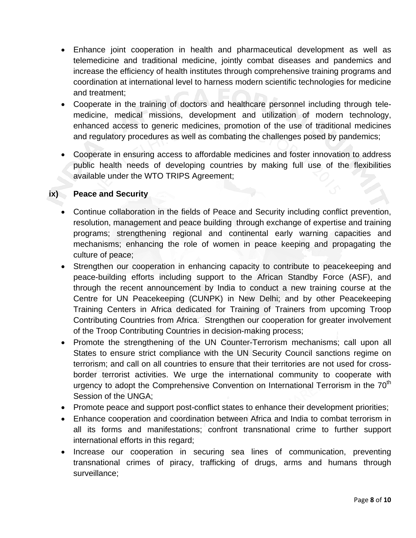- Enhance joint cooperation in health and pharmaceutical development as well as telemedicine and traditional medicine, jointly combat diseases and pandemics and increase the efficiency of health institutes through comprehensive training programs and coordination at international level to harness modern scientific technologies for medicine and treatment;
- Cooperate in the training of doctors and healthcare personnel including through telemedicine, medical missions, development and utilization of modern technology, enhanced access to generic medicines, promotion of the use of traditional medicines and regulatory procedures as well as combating the challenges posed by pandemics;
- Cooperate in ensuring access to affordable medicines and foster innovation to address public health needs of developing countries by making full use of the flexibilities available under the WTO TRIPS Agreement;

### **ix) Peace and Security**

- Continue collaboration in the fields of Peace and Security including conflict prevention, resolution, management and peace building through exchange of expertise and training programs; strengthening regional and continental early warning capacities and mechanisms; enhancing the role of women in peace keeping and propagating the culture of peace;
- Strengthen our cooperation in enhancing capacity to contribute to peacekeeping and peace-building efforts including support to the African Standby Force (ASF), and through the recent announcement by India to conduct a new training course at the Centre for UN Peacekeeping (CUNPK) in New Delhi; and by other Peacekeeping Training Centers in Africa dedicated for Training of Trainers from upcoming Troop Contributing Countries from Africa. Strengthen our cooperation for greater involvement of the Troop Contributing Countries in decision-making process;
- Promote the strengthening of the UN Counter-Terrorism mechanisms; call upon all States to ensure strict compliance with the UN Security Council sanctions regime on terrorism; and call on all countries to ensure that their territories are not used for crossborder terrorist activities. We urge the international community to cooperate with urgency to adopt the Comprehensive Convention on International Terrorism in the  $70<sup>th</sup>$ Session of the UNGA;
- Promote peace and support post-conflict states to enhance their development priorities;
- Enhance cooperation and coordination between Africa and India to combat terrorism in all its forms and manifestations; confront transnational crime to further support international efforts in this regard;
- Increase our cooperation in securing sea lines of communication, preventing transnational crimes of piracy, trafficking of drugs, arms and humans through surveillance;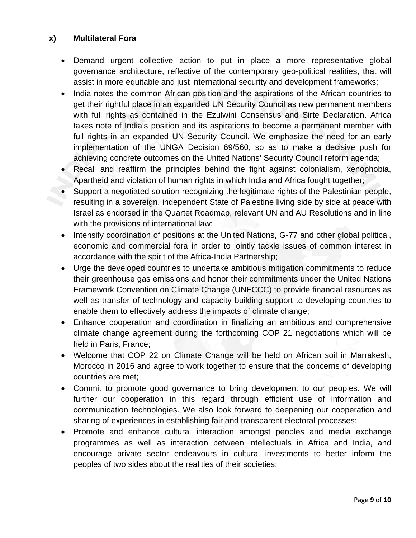# **x) Multilateral Fora**

- Demand urgent collective action to put in place a more representative global governance architecture, reflective of the contemporary geo-political realities, that will assist in more equitable and just international security and development frameworks;
- India notes the common African position and the aspirations of the African countries to get their rightful place in an expanded UN Security Council as new permanent members with full rights as contained in the Ezulwini Consensus and Sirte Declaration. Africa takes note of India's position and its aspirations to become a permanent member with full rights in an expanded UN Security Council. We emphasize the need for an early implementation of the UNGA Decision 69/560, so as to make a decisive push for achieving concrete outcomes on the United Nations' Security Council reform agenda;
- Recall and reaffirm the principles behind the fight against colonialism, xenophobia, Apartheid and violation of human rights in which India and Africa fought together;
- Support a negotiated solution recognizing the legitimate rights of the Palestinian people, resulting in a sovereign, independent State of Palestine living side by side at peace with Israel as endorsed in the Quartet Roadmap, relevant UN and AU Resolutions and in line with the provisions of international law;
- Intensify coordination of positions at the United Nations, G-77 and other global political, economic and commercial fora in order to jointly tackle issues of common interest in accordance with the spirit of the Africa-India Partnership;
- Urge the developed countries to undertake ambitious mitigation commitments to reduce their greenhouse gas emissions and honor their commitments under the United Nations Framework Convention on Climate Change (UNFCCC) to provide financial resources as well as transfer of technology and capacity building support to developing countries to enable them to effectively address the impacts of climate change;
- Enhance cooperation and coordination in finalizing an ambitious and comprehensive climate change agreement during the forthcoming COP 21 negotiations which will be held in Paris, France;
- Welcome that COP 22 on Climate Change will be held on African soil in Marrakesh, Morocco in 2016 and agree to work together to ensure that the concerns of developing countries are met;
- Commit to promote good governance to bring development to our peoples. We will further our cooperation in this regard through efficient use of information and communication technologies. We also look forward to deepening our cooperation and sharing of experiences in establishing fair and transparent electoral processes;
- Promote and enhance cultural interaction amongst peoples and media exchange programmes as well as interaction between intellectuals in Africa and India, and encourage private sector endeavours in cultural investments to better inform the peoples of two sides about the realities of their societies;